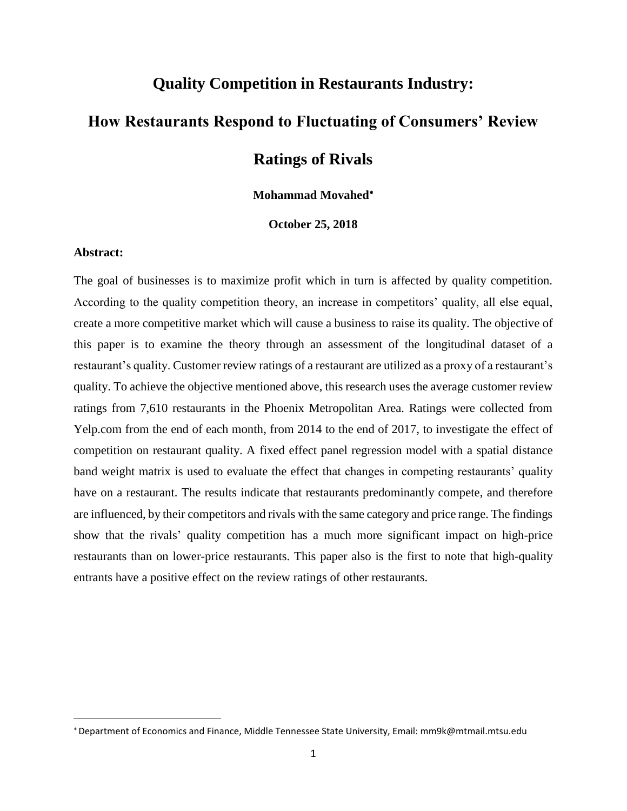## **Quality Competition in Restaurants Industry:**

# **How Restaurants Respond to Fluctuating of Consumers' Review**

## **Ratings of Rivals**

## **Mohammad Movahed**

**October 25, 2018**

## **Abstract:**

 $\overline{\phantom{a}}$ 

The goal of businesses is to maximize profit which in turn is affected by quality competition. According to the quality competition theory, an increase in competitors' quality, all else equal, create a more competitive market which will cause a business to raise its quality. The objective of this paper is to examine the theory through an assessment of the longitudinal dataset of a restaurant's quality. Customer review ratings of a restaurant are utilized as a proxy of a restaurant's quality. To achieve the objective mentioned above, this research uses the average customer review ratings from 7,610 restaurants in the Phoenix Metropolitan Area. Ratings were collected from Yelp.com from the end of each month, from 2014 to the end of 2017, to investigate the effect of competition on restaurant quality. A fixed effect panel regression model with a spatial distance band weight matrix is used to evaluate the effect that changes in competing restaurants' quality have on a restaurant. The results indicate that restaurants predominantly compete, and therefore are influenced, by their competitors and rivals with the same category and price range. The findings show that the rivals' quality competition has a much more significant impact on high-price restaurants than on lower-price restaurants. This paper also is the first to note that high-quality entrants have a positive effect on the review ratings of other restaurants.

Department of Economics and Finance, Middle Tennessee State University, Email: mm9k@mtmail.mtsu.edu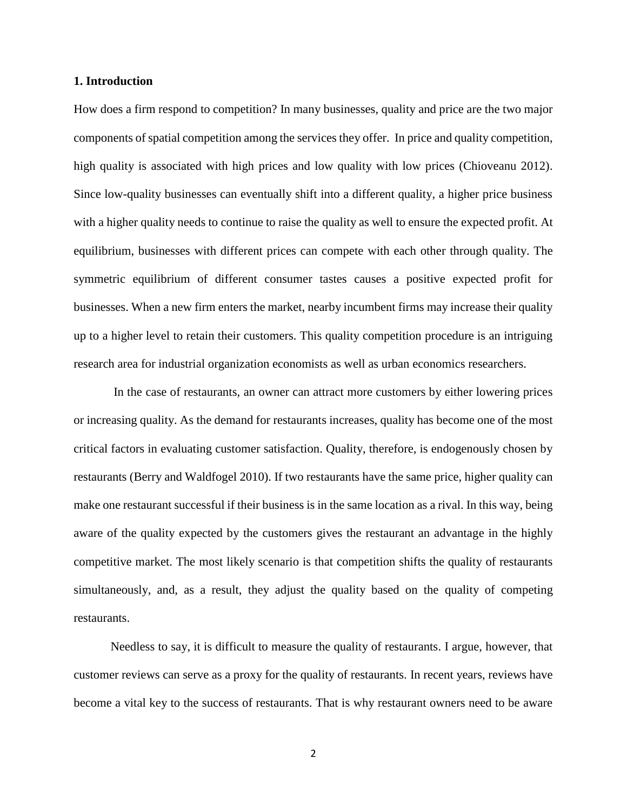### **1. Introduction**

How does a firm respond to competition? In many businesses, quality and price are the two major components of spatial competition among the services they offer. In price and quality competition, high quality is associated with high prices and low quality with low prices (Chioveanu 2012). Since low-quality businesses can eventually shift into a different quality, a higher price business with a higher quality needs to continue to raise the quality as well to ensure the expected profit. At equilibrium, businesses with different prices can compete with each other through quality. The symmetric equilibrium of different consumer tastes causes a positive expected profit for businesses. When a new firm enters the market, nearby incumbent firms may increase their quality up to a higher level to retain their customers. This quality competition procedure is an intriguing research area for industrial organization economists as well as urban economics researchers.

In the case of restaurants, an owner can attract more customers by either lowering prices or increasing quality. As the demand for restaurants increases, quality has become one of the most critical factors in evaluating customer satisfaction. Quality, therefore, is endogenously chosen by restaurants (Berry and Waldfogel 2010). If two restaurants have the same price, higher quality can make one restaurant successful if their business is in the same location as a rival. In this way, being aware of the quality expected by the customers gives the restaurant an advantage in the highly competitive market. The most likely scenario is that competition shifts the quality of restaurants simultaneously, and, as a result, they adjust the quality based on the quality of competing restaurants.

Needless to say, it is difficult to measure the quality of restaurants. I argue, however, that customer reviews can serve as a proxy for the quality of restaurants. In recent years, reviews have become a vital key to the success of restaurants. That is why restaurant owners need to be aware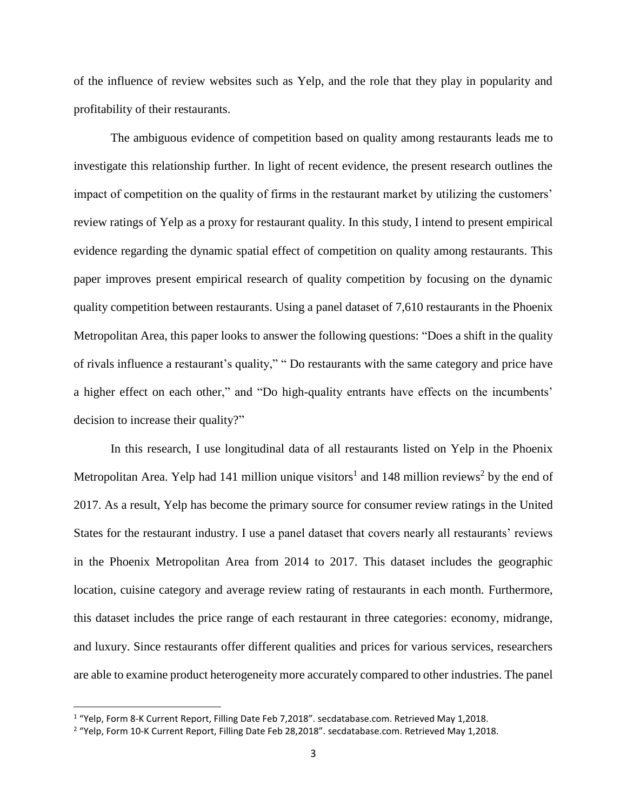of the influence of review websites such as Yelp, and the role that they play in popularity and profitability of their restaurants.

The ambiguous evidence of competition based on quality among restaurants leads me to investigate this relationship further. In light of recent evidence, the present research outlines the impact of competition on the quality of firms in the restaurant market by utilizing the customers' review ratings of Yelp as a proxy for restaurant quality. In this study, I intend to present empirical evidence regarding the dynamic spatial effect of competition on quality among restaurants. This paper improves present empirical research of quality competition by focusing on the dynamic quality competition between restaurants. Using a panel dataset of 7,610 restaurants in the Phoenix Metropolitan Area, this paper looks to answer the following questions: "Does a shift in the quality of rivals influence a restaurant's quality," " Do restaurants with the same category and price have a higher effect on each other," and "Do high-quality entrants have effects on the incumbents' decision to increase their quality?"

In this research, I use longitudinal data of all restaurants listed on Yelp in the Phoenix Metropolitan Area. Yelp had 141 million unique visitors<sup>1</sup> and 148 million reviews<sup>2</sup> by the end of 2017. As a result, Yelp has become the primary source for consumer review ratings in the United States for the restaurant industry. I use a panel dataset that covers nearly all restaurants' reviews in the Phoenix Metropolitan Area from 2014 to 2017. This dataset includes the geographic location, cuisine category and average review rating of restaurants in each month. Furthermore, this dataset includes the price range of each restaurant in three categories: economy, midrange, and luxury. Since restaurants offer different qualities and prices for various services, researchers are able to examine product heterogeneity more accurately compared to other industries. The panel

 $\overline{\phantom{a}}$ 

<sup>&</sup>lt;sup>1</sup> "Yelp, Form 8-K Current Report, Filling Date Feb 7,2018". secdatabase.com. Retrieved May 1,2018.

<sup>&</sup>lt;sup>2</sup> "Yelp, Form 10-K Current Report, Filling Date Feb 28,2018". secdatabase.com. Retrieved May 1,2018.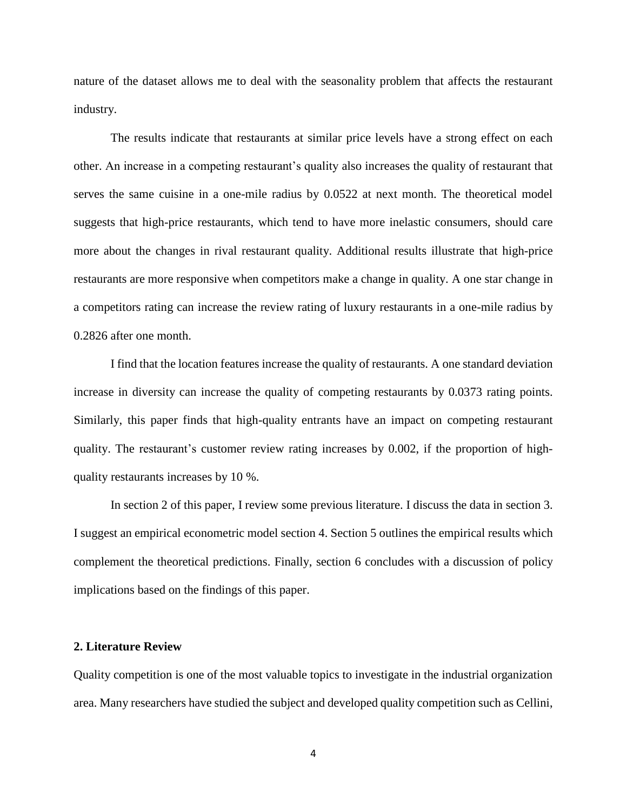nature of the dataset allows me to deal with the seasonality problem that affects the restaurant industry.

The results indicate that restaurants at similar price levels have a strong effect on each other. An increase in a competing restaurant's quality also increases the quality of restaurant that serves the same cuisine in a one-mile radius by 0.0522 at next month. The theoretical model suggests that high-price restaurants, which tend to have more inelastic consumers, should care more about the changes in rival restaurant quality. Additional results illustrate that high-price restaurants are more responsive when competitors make a change in quality. A one star change in a competitors rating can increase the review rating of luxury restaurants in a one-mile radius by 0.2826 after one month.

I find that the location features increase the quality of restaurants. A one standard deviation increase in diversity can increase the quality of competing restaurants by 0.0373 rating points. Similarly, this paper finds that high-quality entrants have an impact on competing restaurant quality. The restaurant's customer review rating increases by 0.002, if the proportion of highquality restaurants increases by 10 %.

In section 2 of this paper, I review some previous literature. I discuss the data in section 3. I suggest an empirical econometric model section 4. Section 5 outlines the empirical results which complement the theoretical predictions. Finally, section 6 concludes with a discussion of policy implications based on the findings of this paper.

## **2. Literature Review**

Quality competition is one of the most valuable topics to investigate in the industrial organization area. Many researchers have studied the subject and developed quality competition such as Cellini,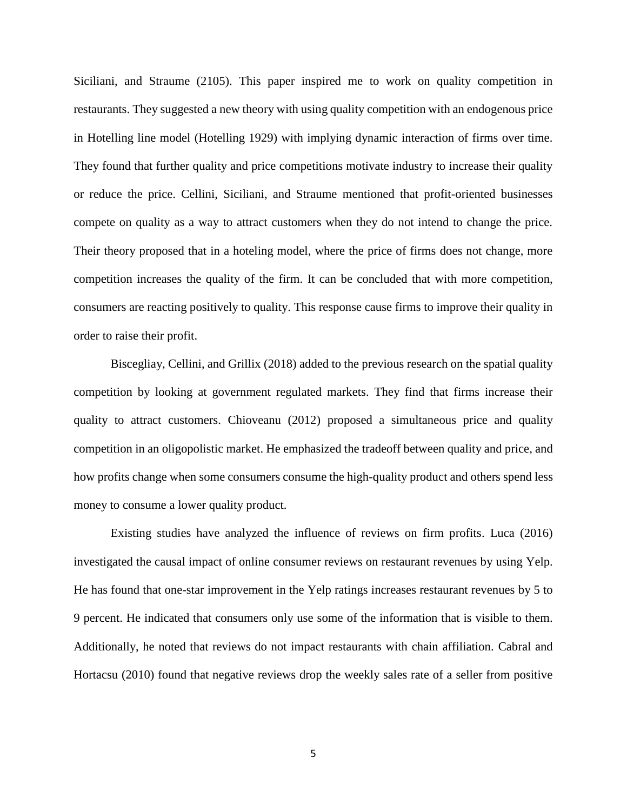Siciliani, and Straume (2105). This paper inspired me to work on quality competition in restaurants. They suggested a new theory with using quality competition with an endogenous price in Hotelling line model (Hotelling 1929) with implying dynamic interaction of firms over time. They found that further quality and price competitions motivate industry to increase their quality or reduce the price. Cellini, Siciliani, and Straume mentioned that profit-oriented businesses compete on quality as a way to attract customers when they do not intend to change the price. Their theory proposed that in a hoteling model, where the price of firms does not change, more competition increases the quality of the firm. It can be concluded that with more competition, consumers are reacting positively to quality. This response cause firms to improve their quality in order to raise their profit.

Biscegliay, Cellini, and Grillix (2018) added to the previous research on the spatial quality competition by looking at government regulated markets. They find that firms increase their quality to attract customers. Chioveanu (2012) proposed a simultaneous price and quality competition in an oligopolistic market. He emphasized the tradeoff between quality and price, and how profits change when some consumers consume the high-quality product and others spend less money to consume a lower quality product.

Existing studies have analyzed the influence of reviews on firm profits. Luca (2016) investigated the causal impact of online consumer reviews on restaurant revenues by using Yelp. He has found that one-star improvement in the Yelp ratings increases restaurant revenues by 5 to 9 percent. He indicated that consumers only use some of the information that is visible to them. Additionally, he noted that reviews do not impact restaurants with chain affiliation. Cabral and Hortacsu (2010) found that negative reviews drop the weekly sales rate of a seller from positive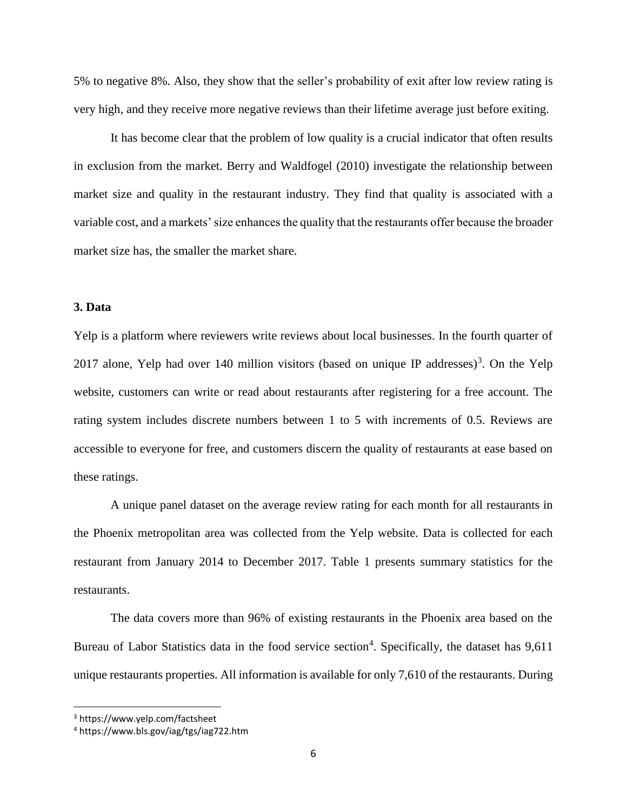5% to negative 8%. Also, they show that the seller's probability of exit after low review rating is very high, and they receive more negative reviews than their lifetime average just before exiting.

It has become clear that the problem of low quality is a crucial indicator that often results in exclusion from the market. Berry and Waldfogel (2010) investigate the relationship between market size and quality in the restaurant industry. They find that quality is associated with a variable cost, and a markets' size enhances the quality that the restaurants offer because the broader market size has, the smaller the market share.

## **3. Data**

Yelp is a platform where reviewers write reviews about local businesses. In the fourth quarter of 2017 alone, Yelp had over 140 million visitors (based on unique IP addresses)<sup>3</sup>. On the Yelp website, customers can write or read about restaurants after registering for a free account. The rating system includes discrete numbers between 1 to 5 with increments of 0.5. Reviews are accessible to everyone for free, and customers discern the quality of restaurants at ease based on these ratings.

A unique panel dataset on the average review rating for each month for all restaurants in the Phoenix metropolitan area was collected from the Yelp website. Data is collected for each restaurant from January 2014 to December 2017. Table 1 presents summary statistics for the restaurants.

The data covers more than 96% of existing restaurants in the Phoenix area based on the Bureau of Labor Statistics data in the food service section<sup>4</sup>. Specifically, the dataset has 9,611 unique restaurants properties. All information is available for only 7,610 of the restaurants. During

 $\overline{\phantom{a}}$ 

<sup>3</sup> https://www.yelp.com/factsheet

<sup>4</sup> https://www.bls.gov/iag/tgs/iag722.htm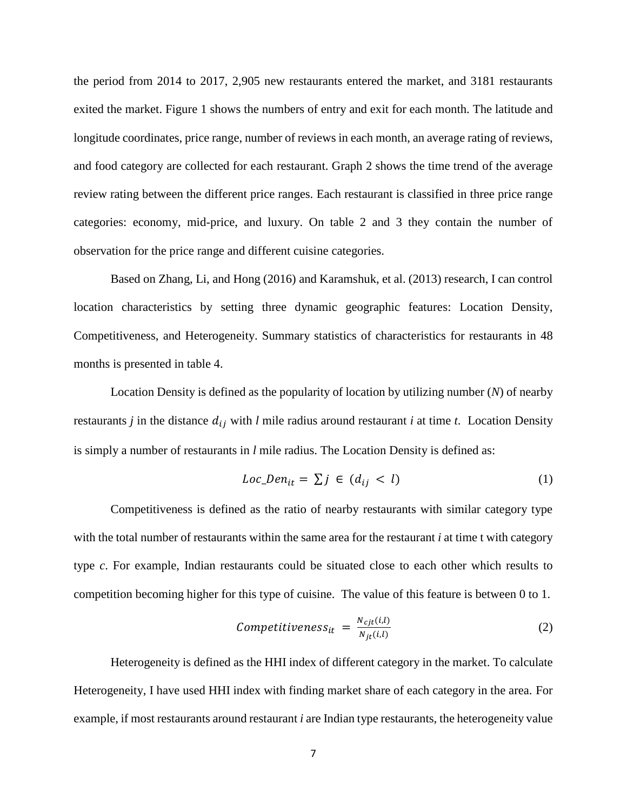the period from 2014 to 2017, 2,905 new restaurants entered the market, and 3181 restaurants exited the market. Figure 1 shows the numbers of entry and exit for each month. The latitude and longitude coordinates, price range, number of reviews in each month, an average rating of reviews, and food category are collected for each restaurant. Graph 2 shows the time trend of the average review rating between the different price ranges. Each restaurant is classified in three price range categories: economy, mid-price, and luxury. On table 2 and 3 they contain the number of observation for the price range and different cuisine categories.

Based on Zhang, Li, and Hong (2016) and Karamshuk, et al. (2013) research, I can control location characteristics by setting three dynamic geographic features: Location Density, Competitiveness, and Heterogeneity. Summary statistics of characteristics for restaurants in 48 months is presented in table 4.

Location Density is defined as the popularity of location by utilizing number (*N*) of nearby restaurants *j* in the distance  $d_{ij}$  with *l* mile radius around restaurant *i* at time *t*. Location Density is simply a number of restaurants in *l* mile radius. The Location Density is defined as:

$$
Loc\_Den_{it} = \sum j \in (d_{ij} < l) \tag{1}
$$

Competitiveness is defined as the ratio of nearby restaurants with similar category type with the total number of restaurants within the same area for the restaurant *i* at time t with category type *c*. For example, Indian restaurants could be situated close to each other which results to competition becoming higher for this type of cuisine. The value of this feature is between 0 to 1.

$$
Competitiveness_{it} = \frac{N_{cjt}(i,l)}{N_{jt}(i,l)}\tag{2}
$$

Heterogeneity is defined as the HHI index of different category in the market. To calculate Heterogeneity, I have used HHI index with finding market share of each category in the area. For example, if most restaurants around restaurant *i* are Indian type restaurants, the heterogeneity value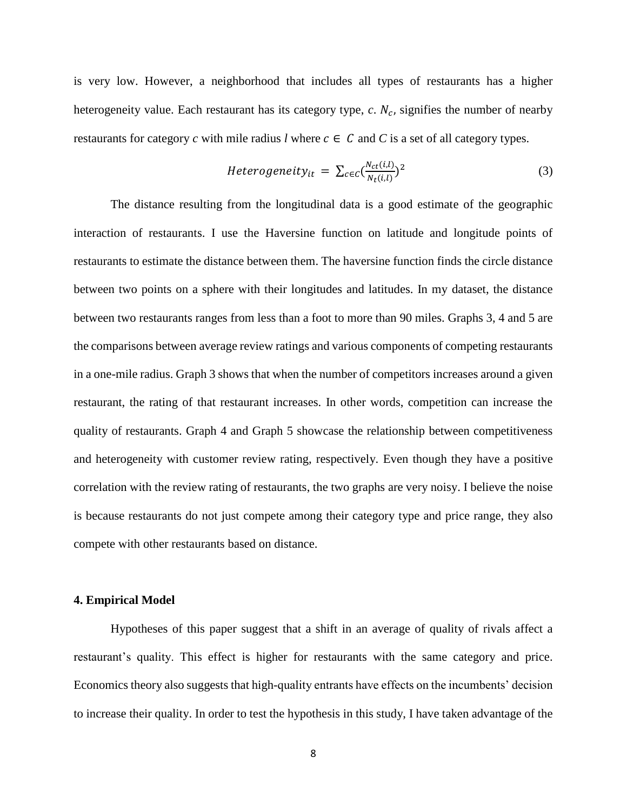is very low. However, a neighborhood that includes all types of restaurants has a higher heterogeneity value. Each restaurant has its category type,  $c$ .  $N_c$ , signifies the number of nearby restaurants for category *c* with mile radius *l* where  $c \in C$  and *C* is a set of all category types.

$$
Heterogeneity_{it} = \sum_{c \in C} \left( \frac{N_{ct}(i,l)}{N_t(i,l)} \right)^2 \tag{3}
$$

The distance resulting from the longitudinal data is a good estimate of the geographic interaction of restaurants. I use the Haversine function on latitude and longitude points of restaurants to estimate the distance between them. The haversine function finds the circle distance between two points on a sphere with their longitudes and latitudes. In my dataset, the distance between two restaurants ranges from less than a foot to more than 90 miles. Graphs 3, 4 and 5 are the comparisons between average review ratings and various components of competing restaurants in a one-mile radius. Graph 3 shows that when the number of competitors increases around a given restaurant, the rating of that restaurant increases. In other words, competition can increase the quality of restaurants. Graph 4 and Graph 5 showcase the relationship between competitiveness and heterogeneity with customer review rating, respectively. Even though they have a positive correlation with the review rating of restaurants, the two graphs are very noisy. I believe the noise is because restaurants do not just compete among their category type and price range, they also compete with other restaurants based on distance.

#### **4. Empirical Model**

Hypotheses of this paper suggest that a shift in an average of quality of rivals affect a restaurant's quality. This effect is higher for restaurants with the same category and price. Economics theory also suggests that high-quality entrants have effects on the incumbents' decision to increase their quality. In order to test the hypothesis in this study, I have taken advantage of the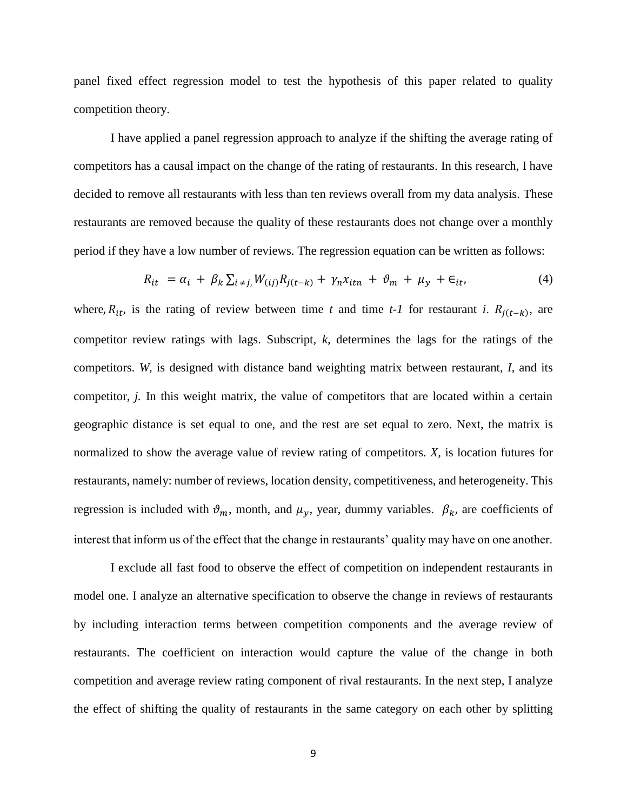panel fixed effect regression model to test the hypothesis of this paper related to quality competition theory.

I have applied a panel regression approach to analyze if the shifting the average rating of competitors has a causal impact on the change of the rating of restaurants. In this research, I have decided to remove all restaurants with less than ten reviews overall from my data analysis. These restaurants are removed because the quality of these restaurants does not change over a monthly period if they have a low number of reviews. The regression equation can be written as follows:

$$
R_{it} = \alpha_i + \beta_k \sum_{i \neq j} W_{(ij)} R_{j(t-k)} + \gamma_n x_{itn} + \vartheta_m + \mu_y + \epsilon_{it}, \tag{4}
$$

where,  $R_{it}$ , is the rating of review between time *t* and time *t*-1 for restaurant *i*.  $R_{j(t-k)}$ , are competitor review ratings with lags. Subscript, *k,* determines the lags for the ratings of the competitors. *W,* is designed with distance band weighting matrix between restaurant, *I,* and its competitor, *j.* In this weight matrix, the value of competitors that are located within a certain geographic distance is set equal to one, and the rest are set equal to zero. Next, the matrix is normalized to show the average value of review rating of competitors. *X,* is location futures for restaurants, namely: number of reviews, location density, competitiveness, and heterogeneity. This regression is included with  $\vartheta_m$ , month, and  $\mu_y$ , year, dummy variables.  $\beta_k$ , are coefficients of interest that inform us of the effect that the change in restaurants' quality may have on one another.

I exclude all fast food to observe the effect of competition on independent restaurants in model one. I analyze an alternative specification to observe the change in reviews of restaurants by including interaction terms between competition components and the average review of restaurants. The coefficient on interaction would capture the value of the change in both competition and average review rating component of rival restaurants. In the next step, I analyze the effect of shifting the quality of restaurants in the same category on each other by splitting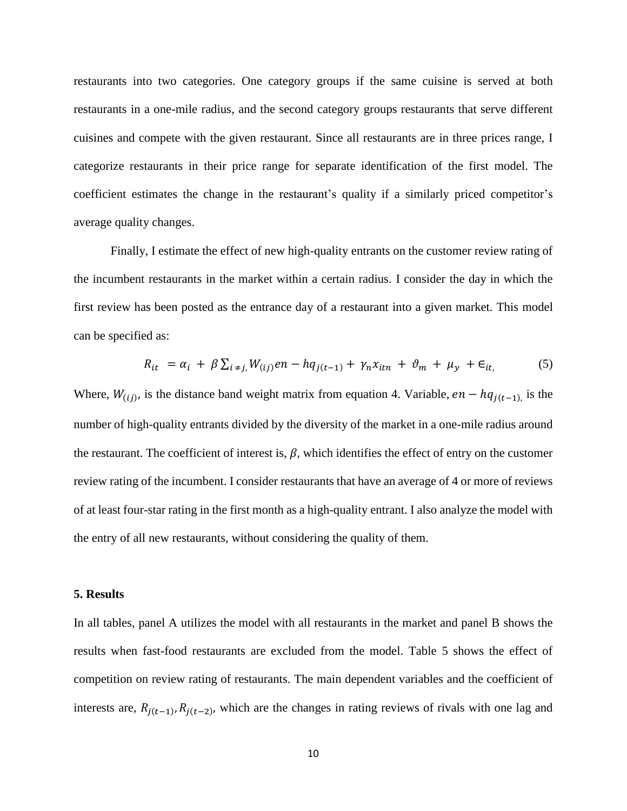restaurants into two categories. One category groups if the same cuisine is served at both restaurants in a one-mile radius, and the second category groups restaurants that serve different cuisines and compete with the given restaurant. Since all restaurants are in three prices range, I categorize restaurants in their price range for separate identification of the first model. The coefficient estimates the change in the restaurant's quality if a similarly priced competitor's average quality changes.

Finally, I estimate the effect of new high-quality entrants on the customer review rating of the incumbent restaurants in the market within a certain radius. I consider the day in which the first review has been posted as the entrance day of a restaurant into a given market. This model can be specified as:

$$
R_{it} = \alpha_i + \beta \sum_{i \neq j} W_{(ij)} en - hq_{j(t-1)} + \gamma_n x_{it} + \vartheta_m + \mu_y + \epsilon_{it}, \tag{5}
$$

Where,  $W_{(ij)}$ , is the distance band weight matrix from equation 4. Variable,  $en - hq_{j(t-1)}$ , is the number of high-quality entrants divided by the diversity of the market in a one-mile radius around the restaurant. The coefficient of interest is,  $\beta$ , which identifies the effect of entry on the customer review rating of the incumbent. I consider restaurants that have an average of 4 or more of reviews of at least four-star rating in the first month as a high-quality entrant. I also analyze the model with the entry of all new restaurants, without considering the quality of them.

#### **5. Results**

In all tables, panel A utilizes the model with all restaurants in the market and panel B shows the results when fast-food restaurants are excluded from the model. Table 5 shows the effect of competition on review rating of restaurants. The main dependent variables and the coefficient of interests are,  $R_{j(t-1)}, R_{j(t-2)}$ , which are the changes in rating reviews of rivals with one lag and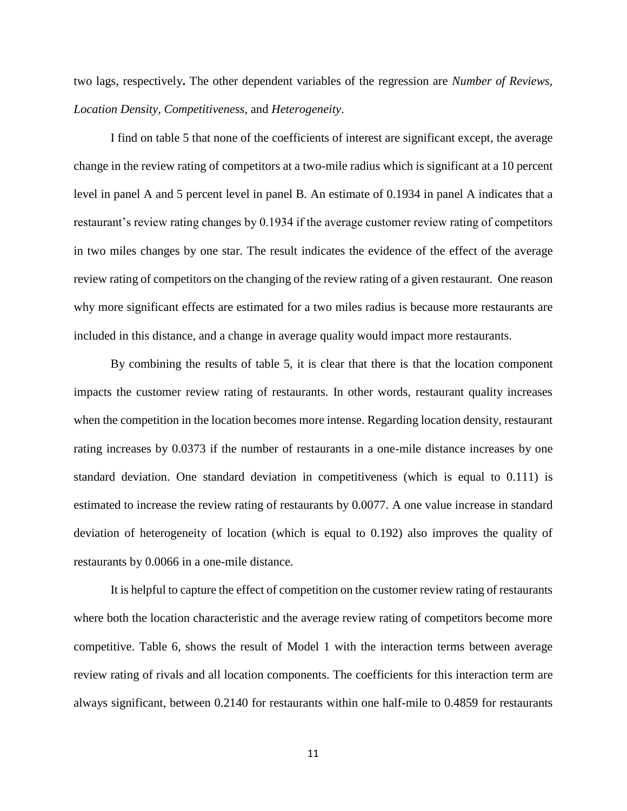two lags, respectively**.** The other dependent variables of the regression are *Number of Reviews, Location Density, Competitiveness,* and *Heterogeneity*.

I find on table 5 that none of the coefficients of interest are significant except, the average change in the review rating of competitors at a two-mile radius which is significant at a 10 percent level in panel A and 5 percent level in panel B. An estimate of 0.1934 in panel A indicates that a restaurant's review rating changes by 0.1934 if the average customer review rating of competitors in two miles changes by one star. The result indicates the evidence of the effect of the average review rating of competitors on the changing of the review rating of a given restaurant. One reason why more significant effects are estimated for a two miles radius is because more restaurants are included in this distance, and a change in average quality would impact more restaurants.

By combining the results of table 5, it is clear that there is that the location component impacts the customer review rating of restaurants. In other words, restaurant quality increases when the competition in the location becomes more intense. Regarding location density, restaurant rating increases by 0.0373 if the number of restaurants in a one-mile distance increases by one standard deviation. One standard deviation in competitiveness (which is equal to 0.111) is estimated to increase the review rating of restaurants by 0.0077. A one value increase in standard deviation of heterogeneity of location (which is equal to 0.192) also improves the quality of restaurants by 0.0066 in a one-mile distance.

It is helpful to capture the effect of competition on the customer review rating of restaurants where both the location characteristic and the average review rating of competitors become more competitive. Table 6, shows the result of Model 1 with the interaction terms between average review rating of rivals and all location components. The coefficients for this interaction term are always significant, between 0.2140 for restaurants within one half-mile to 0.4859 for restaurants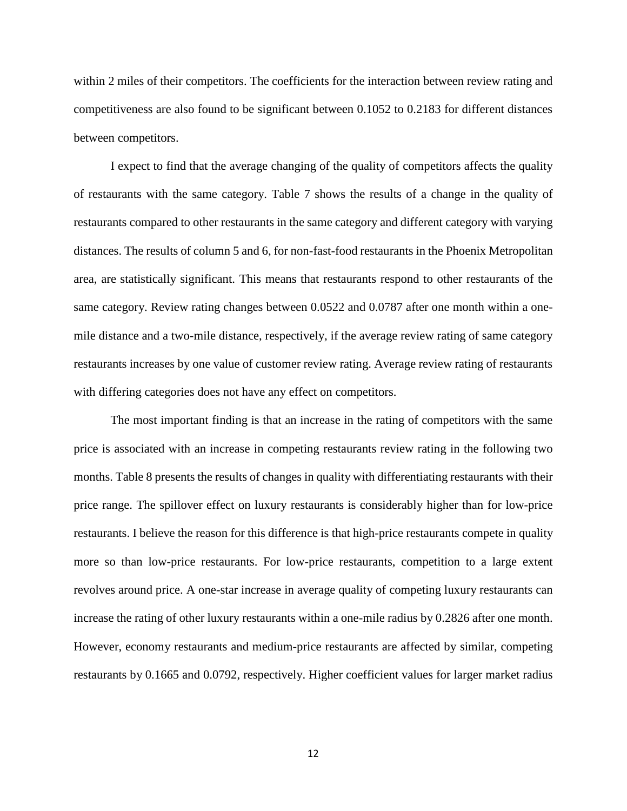within 2 miles of their competitors. The coefficients for the interaction between review rating and competitiveness are also found to be significant between 0.1052 to 0.2183 for different distances between competitors.

I expect to find that the average changing of the quality of competitors affects the quality of restaurants with the same category. Table 7 shows the results of a change in the quality of restaurants compared to other restaurants in the same category and different category with varying distances. The results of column 5 and 6, for non-fast-food restaurants in the Phoenix Metropolitan area, are statistically significant. This means that restaurants respond to other restaurants of the same category. Review rating changes between 0.0522 and 0.0787 after one month within a onemile distance and a two-mile distance, respectively, if the average review rating of same category restaurants increases by one value of customer review rating. Average review rating of restaurants with differing categories does not have any effect on competitors.

The most important finding is that an increase in the rating of competitors with the same price is associated with an increase in competing restaurants review rating in the following two months. Table 8 presents the results of changes in quality with differentiating restaurants with their price range. The spillover effect on luxury restaurants is considerably higher than for low-price restaurants. I believe the reason for this difference is that high-price restaurants compete in quality more so than low-price restaurants. For low-price restaurants, competition to a large extent revolves around price. A one-star increase in average quality of competing luxury restaurants can increase the rating of other luxury restaurants within a one-mile radius by 0.2826 after one month. However, economy restaurants and medium-price restaurants are affected by similar, competing restaurants by 0.1665 and 0.0792, respectively. Higher coefficient values for larger market radius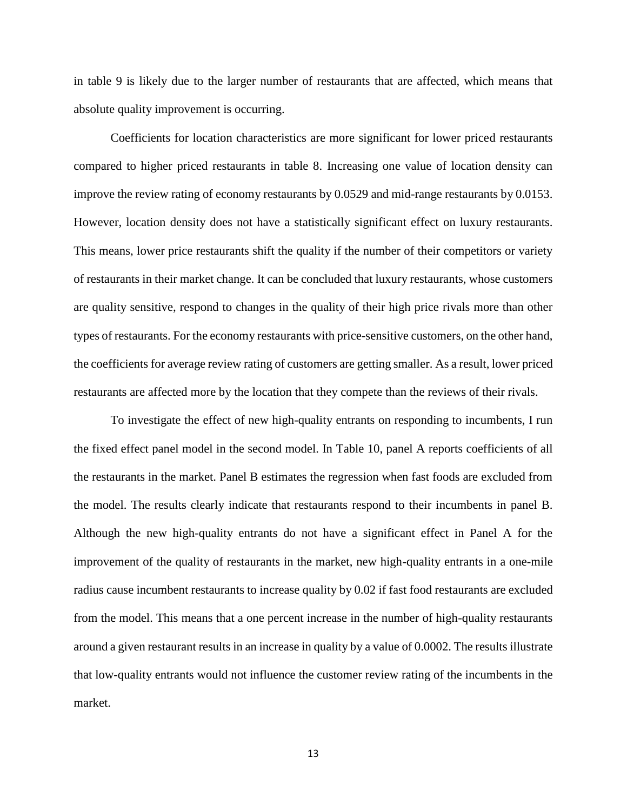in table 9 is likely due to the larger number of restaurants that are affected, which means that absolute quality improvement is occurring.

Coefficients for location characteristics are more significant for lower priced restaurants compared to higher priced restaurants in table 8. Increasing one value of location density can improve the review rating of economy restaurants by 0.0529 and mid-range restaurants by 0.0153. However, location density does not have a statistically significant effect on luxury restaurants. This means, lower price restaurants shift the quality if the number of their competitors or variety of restaurants in their market change. It can be concluded that luxury restaurants, whose customers are quality sensitive, respond to changes in the quality of their high price rivals more than other types of restaurants. For the economy restaurants with price-sensitive customers, on the other hand, the coefficients for average review rating of customers are getting smaller. As a result, lower priced restaurants are affected more by the location that they compete than the reviews of their rivals.

To investigate the effect of new high-quality entrants on responding to incumbents, I run the fixed effect panel model in the second model. In Table 10, panel A reports coefficients of all the restaurants in the market. Panel B estimates the regression when fast foods are excluded from the model. The results clearly indicate that restaurants respond to their incumbents in panel B. Although the new high-quality entrants do not have a significant effect in Panel A for the improvement of the quality of restaurants in the market, new high-quality entrants in a one-mile radius cause incumbent restaurants to increase quality by 0.02 if fast food restaurants are excluded from the model. This means that a one percent increase in the number of high-quality restaurants around a given restaurant results in an increase in quality by a value of 0.0002. The results illustrate that low-quality entrants would not influence the customer review rating of the incumbents in the market.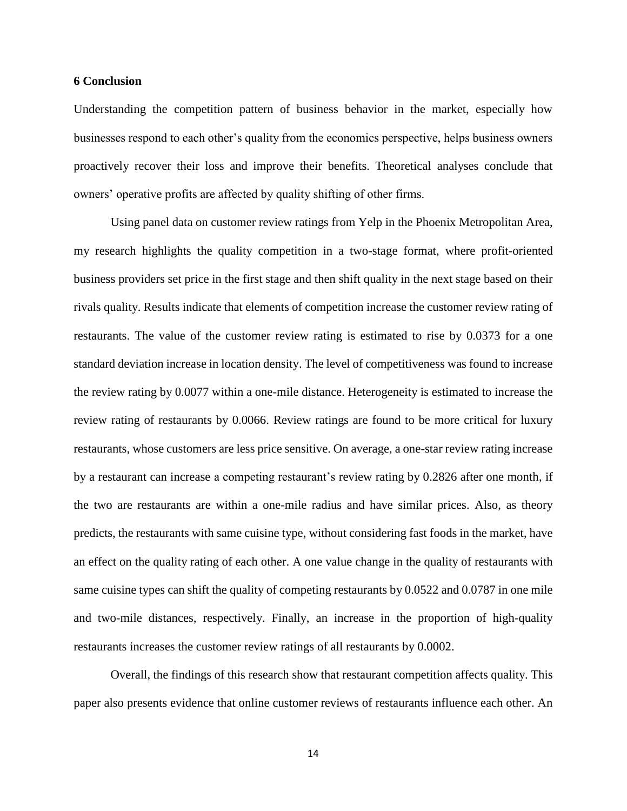### **6 Conclusion**

Understanding the competition pattern of business behavior in the market, especially how businesses respond to each other's quality from the economics perspective, helps business owners proactively recover their loss and improve their benefits. Theoretical analyses conclude that owners' operative profits are affected by quality shifting of other firms.

Using panel data on customer review ratings from Yelp in the Phoenix Metropolitan Area, my research highlights the quality competition in a two-stage format, where profit-oriented business providers set price in the first stage and then shift quality in the next stage based on their rivals quality. Results indicate that elements of competition increase the customer review rating of restaurants. The value of the customer review rating is estimated to rise by 0.0373 for a one standard deviation increase in location density. The level of competitiveness was found to increase the review rating by 0.0077 within a one-mile distance. Heterogeneity is estimated to increase the review rating of restaurants by 0.0066. Review ratings are found to be more critical for luxury restaurants, whose customers are less price sensitive. On average, a one-star review rating increase by a restaurant can increase a competing restaurant's review rating by 0.2826 after one month, if the two are restaurants are within a one-mile radius and have similar prices. Also, as theory predicts, the restaurants with same cuisine type, without considering fast foods in the market, have an effect on the quality rating of each other. A one value change in the quality of restaurants with same cuisine types can shift the quality of competing restaurants by 0.0522 and 0.0787 in one mile and two-mile distances, respectively. Finally, an increase in the proportion of high-quality restaurants increases the customer review ratings of all restaurants by 0.0002.

Overall, the findings of this research show that restaurant competition affects quality. This paper also presents evidence that online customer reviews of restaurants influence each other. An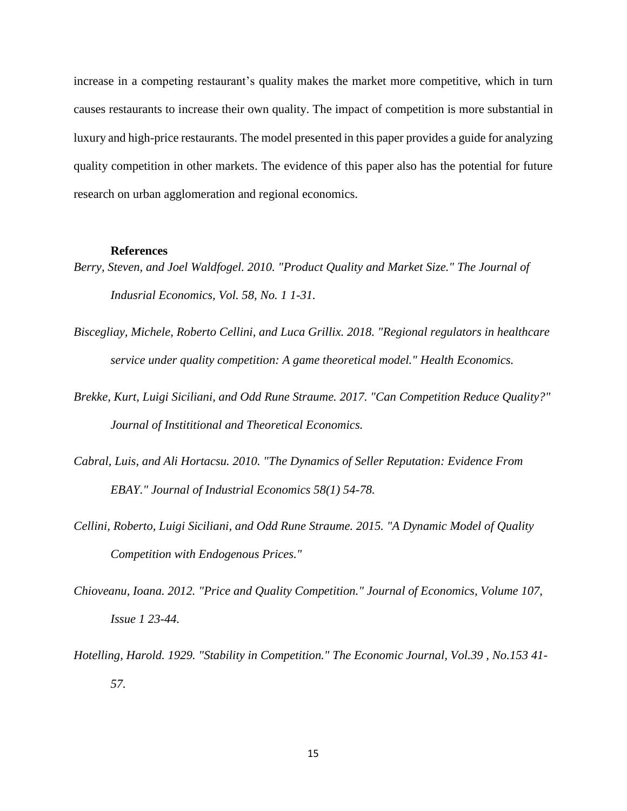increase in a competing restaurant's quality makes the market more competitive, which in turn causes restaurants to increase their own quality. The impact of competition is more substantial in luxury and high-price restaurants. The model presented in this paper provides a guide for analyzing quality competition in other markets. The evidence of this paper also has the potential for future research on urban agglomeration and regional economics.

#### **References**

- *Berry, Steven, and Joel Waldfogel. 2010. "Product Quality and Market Size." The Journal of Indusrial Economics, Vol. 58, No. 1 1-31.*
- *Biscegliay, Michele, Roberto Cellini, and Luca Grillix. 2018. "Regional regulators in healthcare service under quality competition: A game theoretical model." Health Economics.*
- *Brekke, Kurt, Luigi Siciliani, and Odd Rune Straume. 2017. "Can Competition Reduce Quality?" Journal of Instititional and Theoretical Economics.*
- *Cabral, Luis, and Ali Hortacsu. 2010. "The Dynamics of Seller Reputation: Evidence From EBAY." Journal of Industrial Economics 58(1) 54-78.*
- *Cellini, Roberto, Luigi Siciliani, and Odd Rune Straume. 2015. "A Dynamic Model of Quality Competition with Endogenous Prices."*
- *Chioveanu, Ioana. 2012. "Price and Quality Competition." Journal of Economics, Volume 107, Issue 1 23-44.*
- *Hotelling, Harold. 1929. "Stability in Competition." The Economic Journal, Vol.39 , No.153 41- 57.*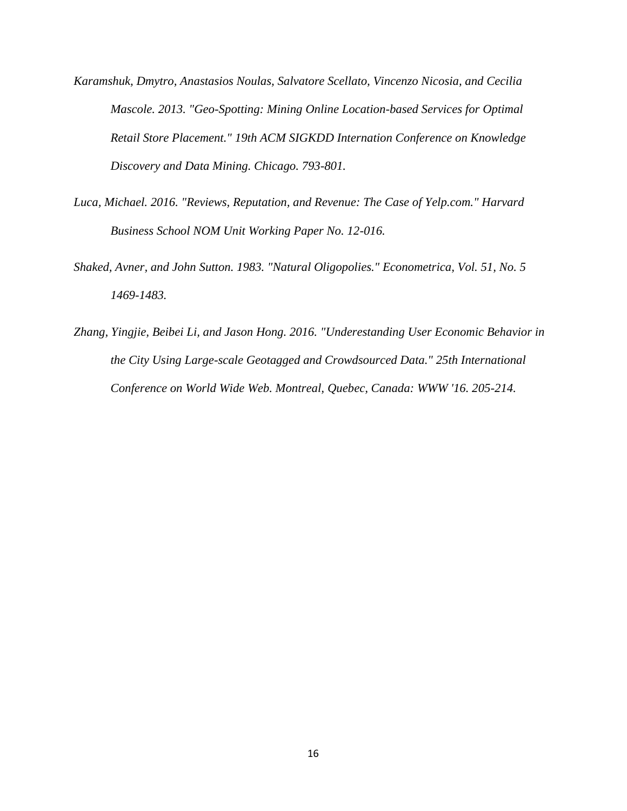- *Karamshuk, Dmytro, Anastasios Noulas, Salvatore Scellato, Vincenzo Nicosia, and Cecilia Mascole. 2013. "Geo-Spotting: Mining Online Location-based Services for Optimal Retail Store Placement." 19th ACM SIGKDD Internation Conference on Knowledge Discovery and Data Mining. Chicago. 793-801.*
- *Luca, Michael. 2016. "Reviews, Reputation, and Revenue: The Case of Yelp.com." Harvard Business School NOM Unit Working Paper No. 12-016.*
- *Shaked, Avner, and John Sutton. 1983. "Natural Oligopolies." Econometrica, Vol. 51, No. 5 1469-1483.*
- *Zhang, Yingjie, Beibei Li, and Jason Hong. 2016. "Underestanding User Economic Behavior in the City Using Large-scale Geotagged and Crowdsourced Data." 25th International Conference on World Wide Web. Montreal, Quebec, Canada: WWW '16. 205-214.*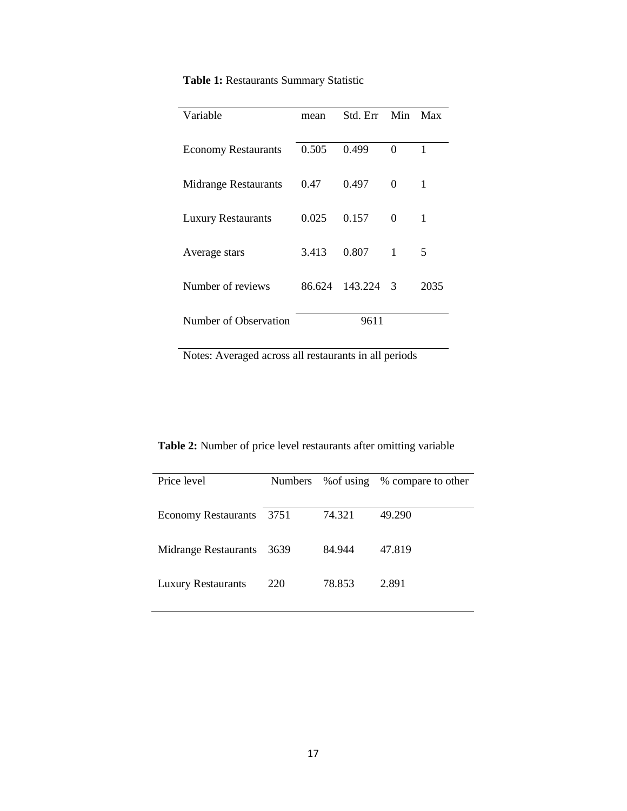| Variable                    | mean   | Std. Err | Min | Max  |
|-----------------------------|--------|----------|-----|------|
|                             |        |          |     |      |
| <b>Economy Restaurants</b>  | 0.505  | 0.499    | 0   | 1    |
|                             |        |          |     |      |
| <b>Midrange Restaurants</b> | 0.47   | 0.497    | 0   | 1    |
|                             |        |          |     |      |
| <b>Luxury Restaurants</b>   | 0.025  | 0.157    | 0   | 1    |
|                             |        |          |     |      |
| Average stars               | 3.413  | 0.807    | 1   | 5    |
|                             |        |          |     |      |
| Number of reviews           | 86.624 | 143.224  | -3  | 2035 |
|                             |        |          |     |      |
| Number of Observation       |        | 9611     |     |      |

**Table 1:** Restaurants Summary Statistic

Notes: Averaged across all restaurants in all periods

**Table 2:** Number of price level restaurants after omitting variable

| Price level                 | <b>Numbers</b> |        | % of using % compare to other |
|-----------------------------|----------------|--------|-------------------------------|
|                             |                |        |                               |
|                             |                |        |                               |
| <b>Economy Restaurants</b>  | 3751           | 74.321 | 49.290                        |
|                             |                |        |                               |
| <b>Midrange Restaurants</b> | 3639           | 84.944 | 47.819                        |
|                             |                |        |                               |
| <b>Luxury Restaurants</b>   | 220            | 78.853 | 2.891                         |
|                             |                |        |                               |
|                             |                |        |                               |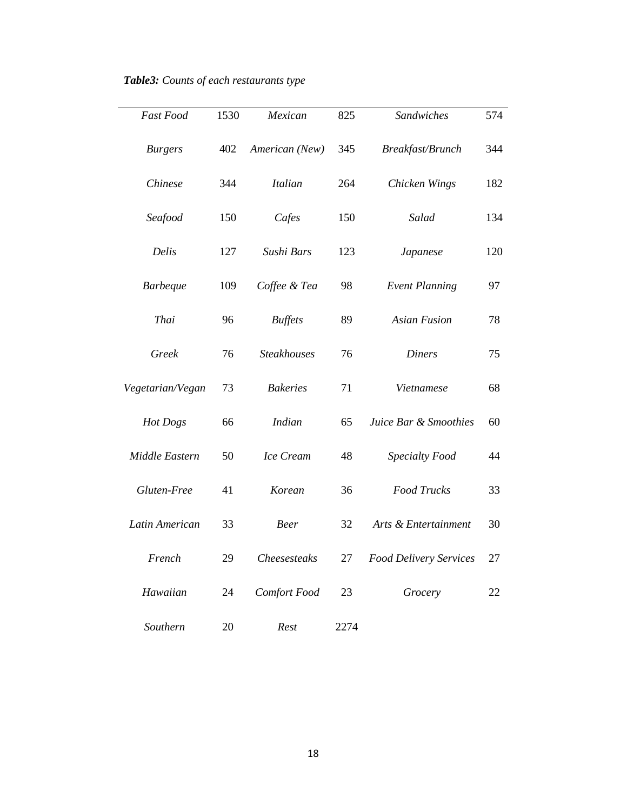| Fast Food        | 1530 | Mexican             | 825<br>Sandwiches |                               | 574 |
|------------------|------|---------------------|-------------------|-------------------------------|-----|
| <b>Burgers</b>   | 402  | American (New)      | 345               | Breakfast/Brunch              | 344 |
| Chinese          | 344  | <b>Italian</b>      | 264               | Chicken Wings                 | 182 |
| Seafood          | 150  | Cafes               | 150               | Salad                         | 134 |
| Delis            | 127  | Sushi Bars          | 123               | Japanese                      | 120 |
| <b>Barbeque</b>  | 109  | Coffee & Tea        | 98                | <b>Event Planning</b>         | 97  |
| Thai             | 96   | <b>Buffets</b>      | 89                | <b>Asian Fusion</b>           | 78  |
| Greek            | 76   | <b>Steakhouses</b>  | 76                | <b>Diners</b>                 | 75  |
| Vegetarian/Vegan | 73   | <b>Bakeries</b>     | 71                | Vietnamese                    | 68  |
| Hot Dogs         | 66   | <b>Indian</b>       | 65                | Juice Bar & Smoothies         | 60  |
| Middle Eastern   | 50   | Ice Cream           | 48                | Specialty Food                | 44  |
| Gluten-Free      | 41   | Korean              | 36                | <b>Food Trucks</b>            | 33  |
| Latin American   | 33   | <b>Beer</b>         | 32                | Arts & Entertainment          | 30  |
| French           | 29   | <b>Cheesesteaks</b> | 27                | <b>Food Delivery Services</b> | 27  |
| Hawaiian         | 24   | Comfort Food        | 23                | Grocery                       | 22  |
| Southern         | 20   | Rest                | 2274              |                               |     |

*Table3: Counts of each restaurants type*

 $\overline{\phantom{0}}$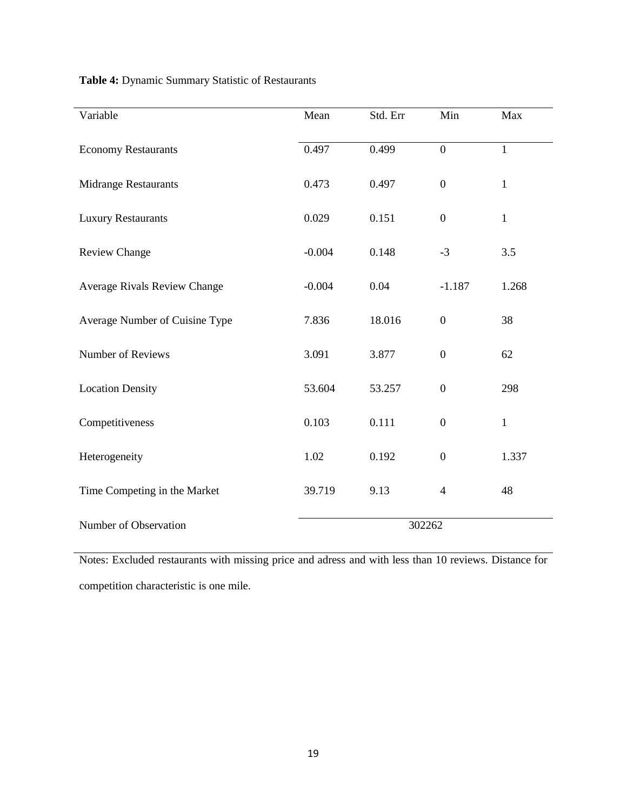|  |  |  |  | Table 4: Dynamic Summary Statistic of Restaurants |
|--|--|--|--|---------------------------------------------------|
|--|--|--|--|---------------------------------------------------|

| Variable                       | Mean     | Std. Err | Min              | Max          |
|--------------------------------|----------|----------|------------------|--------------|
| <b>Economy Restaurants</b>     | 0.497    | 0.499    | $\overline{0}$   | $\mathbf{1}$ |
| Midrange Restaurants           | 0.473    | 0.497    | $\boldsymbol{0}$ | $\mathbf{1}$ |
| <b>Luxury Restaurants</b>      | 0.029    | 0.151    | $\overline{0}$   | $\mathbf{1}$ |
| <b>Review Change</b>           | $-0.004$ | 0.148    | $-3$             | 3.5          |
| Average Rivals Review Change   | $-0.004$ | 0.04     | $-1.187$         | 1.268        |
| Average Number of Cuisine Type | 7.836    | 18.016   | $\overline{0}$   | 38           |
| Number of Reviews              | 3.091    | 3.877    | $\boldsymbol{0}$ | 62           |
| <b>Location Density</b>        | 53.604   | 53.257   | $\boldsymbol{0}$ | 298          |
| Competitiveness                | 0.103    | 0.111    | $\boldsymbol{0}$ | $\mathbf{1}$ |
| Heterogeneity                  | 1.02     | 0.192    | $\boldsymbol{0}$ | 1.337        |
| Time Competing in the Market   | 39.719   | 9.13     | $\overline{4}$   | 48           |
| Number of Observation          |          | 302262   |                  |              |

Notes: Excluded restaurants with missing price and adress and with less than 10 reviews. Distance for competition characteristic is one mile.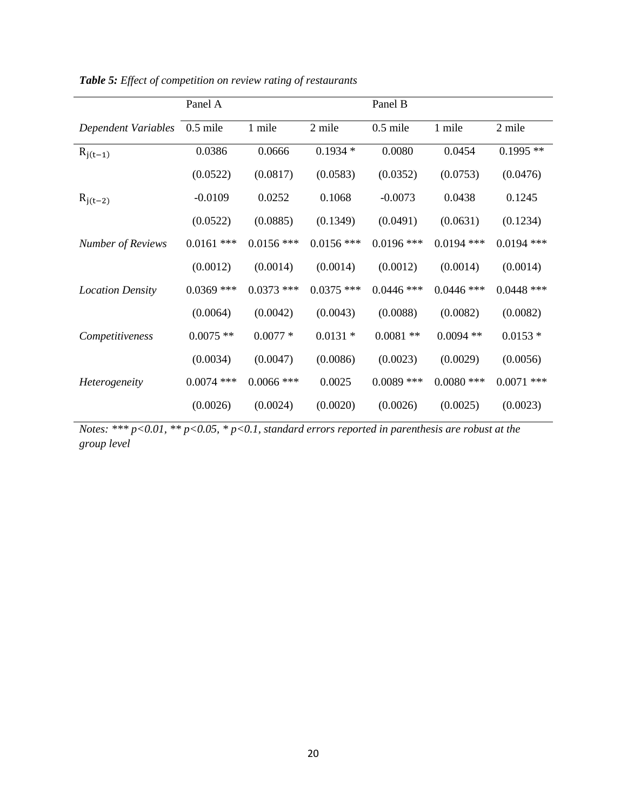|                          | Panel A      |              |              | Panel B      |              |              |
|--------------------------|--------------|--------------|--------------|--------------|--------------|--------------|
| Dependent Variables      | $0.5$ mile   | 1 mile       | 2 mile       | $0.5$ mile   | 1 mile       | 2 mile       |
| $R_{j(t-1)}$             | 0.0386       | 0.0666       | $0.1934*$    | 0.0080       | 0.0454       | $0.1995**$   |
|                          | (0.0522)     | (0.0817)     | (0.0583)     | (0.0352)     | (0.0753)     | (0.0476)     |
| $R_{j(t-2)}$             | $-0.0109$    | 0.0252       | 0.1068       | $-0.0073$    | 0.0438       | 0.1245       |
|                          | (0.0522)     | (0.0885)     | (0.1349)     | (0.0491)     | (0.0631)     | (0.1234)     |
| <b>Number of Reviews</b> | $0.0161$ *** | $0.0156$ *** | $0.0156$ *** | $0.0196$ *** | $0.0194$ *** | $0.0194$ *** |
|                          | (0.0012)     | (0.0014)     | (0.0014)     | (0.0012)     | (0.0014)     | (0.0014)     |
| <b>Location Density</b>  | $0.0369$ *** | $0.0373$ *** | $0.0375$ *** | $0.0446$ *** | $0.0446$ *** | $0.0448$ *** |
|                          | (0.0064)     | (0.0042)     | (0.0043)     | (0.0088)     | (0.0082)     | (0.0082)     |
| Competitiveness          | $0.0075$ **  | $0.0077*$    | $0.0131 *$   | $0.0081**$   | $0.0094$ **  | $0.0153*$    |
|                          | (0.0034)     | (0.0047)     | (0.0086)     | (0.0023)     | (0.0029)     | (0.0056)     |
| Heterogeneity            | $0.0074$ *** | $0.0066$ *** | 0.0025       | $0.0089$ *** | $0.0080$ *** | $0.0071$ *** |
|                          | (0.0026)     | (0.0024)     | (0.0020)     | (0.0026)     | (0.0025)     | (0.0023)     |

*Table 5: Effect of competition on review rating of restaurants*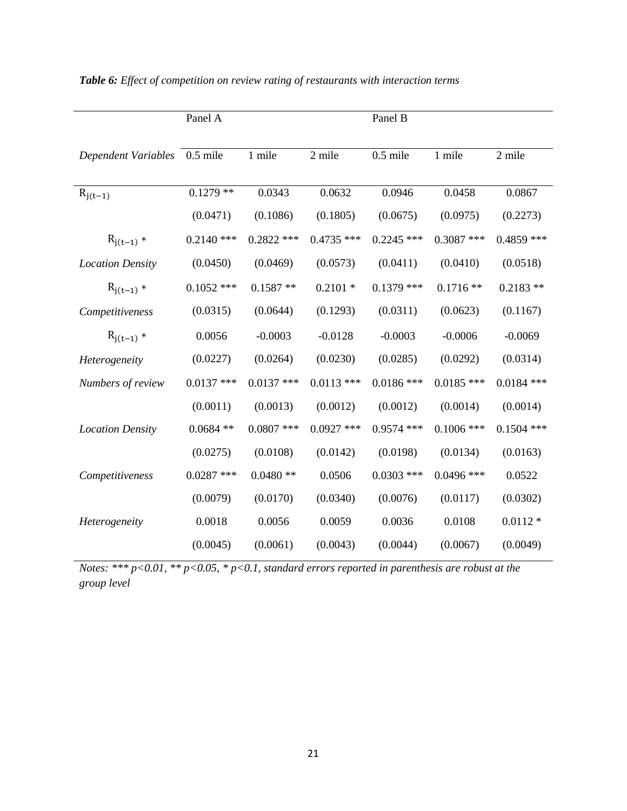|                            | Panel A      |              |              | Panel B      |              |              |
|----------------------------|--------------|--------------|--------------|--------------|--------------|--------------|
| <b>Dependent Variables</b> | $0.5$ mile   | 1 mile       | 2 mile       | $0.5$ mile   | 1 mile       | 2 mile       |
| $R_{j(t-1)}$               | $0.1279**$   | 0.0343       | 0.0632       | 0.0946       | 0.0458       | 0.0867       |
|                            | (0.0471)     | (0.1086)     | (0.1805)     | (0.0675)     | (0.0975)     | (0.2273)     |
| $R_{j(t-1)} *$             | $0.2140$ *** | $0.2822$ *** | $0.4735$ *** | $0.2245$ *** | $0.3087$ *** | $0.4859$ *** |
| <b>Location Density</b>    | (0.0450)     | (0.0469)     | (0.0573)     | (0.0411)     | (0.0410)     | (0.0518)     |
| $R_{j(t-1)} *$             | $0.1052$ *** | $0.1587**$   | $0.2101 *$   | $0.1379$ *** | $0.1716**$   | $0.2183$ **  |
| Competitiveness            | (0.0315)     | (0.0644)     | (0.1293)     | (0.0311)     | (0.0623)     | (0.1167)     |
| $R_{j(t-1)} *$             | 0.0056       | $-0.0003$    | $-0.0128$    | $-0.0003$    | $-0.0006$    | $-0.0069$    |
| Heterogeneity              | (0.0227)     | (0.0264)     | (0.0230)     | (0.0285)     | (0.0292)     | (0.0314)     |
| Numbers of review          | $0.0137$ *** | $0.0137$ *** | $0.0113$ *** | $0.0186$ *** | $0.0185$ *** | $0.0184$ *** |
|                            | (0.0011)     | (0.0013)     | (0.0012)     | (0.0012)     | (0.0014)     | (0.0014)     |
| <b>Location Density</b>    | $0.0684$ **  | $0.0807$ *** | $0.0927$ *** | $0.9574$ *** | $0.1006$ *** | $0.1504$ *** |
|                            | (0.0275)     | (0.0108)     | (0.0142)     | (0.0198)     | (0.0134)     | (0.0163)     |
| Competitiveness            | $0.0287$ *** | $0.0480**$   | 0.0506       | $0.0303$ *** | $0.0496$ *** | 0.0522       |
|                            | (0.0079)     | (0.0170)     | (0.0340)     | (0.0076)     | (0.0117)     | (0.0302)     |
| Heterogeneity              | 0.0018       | 0.0056       | 0.0059       | 0.0036       | 0.0108       | $0.0112 *$   |
|                            | (0.0045)     | (0.0061)     | (0.0043)     | (0.0044)     | (0.0067)     | (0.0049)     |

|  |  | Table 6: Effect of competition on review rating of restaurants with interaction terms |  |  |  |  |  |  |
|--|--|---------------------------------------------------------------------------------------|--|--|--|--|--|--|
|--|--|---------------------------------------------------------------------------------------|--|--|--|--|--|--|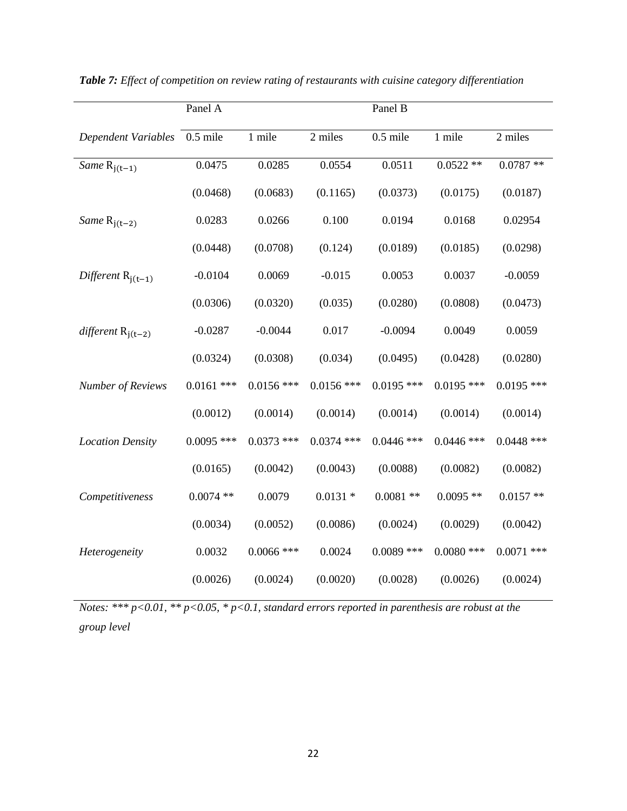|                            | Panel A      |              |              | Panel B      |              |              |
|----------------------------|--------------|--------------|--------------|--------------|--------------|--------------|
| <b>Dependent Variables</b> | $0.5$ mile   | 1 mile       | 2 miles      | $0.5$ mile   | 1 mile       | 2 miles      |
| Same $R_{j(t-1)}$          | 0.0475       | 0.0285       | 0.0554       | 0.0511       | $0.0522**$   | $0.0787**$   |
|                            | (0.0468)     | (0.0683)     | (0.1165)     | (0.0373)     | (0.0175)     | (0.0187)     |
| Same $R_{j(t-2)}$          | 0.0283       | 0.0266       | 0.100        | 0.0194       | 0.0168       | 0.02954      |
|                            | (0.0448)     | (0.0708)     | (0.124)      | (0.0189)     | (0.0185)     | (0.0298)     |
| Different $R_{j(t-1)}$     | $-0.0104$    | 0.0069       | $-0.015$     | 0.0053       | 0.0037       | $-0.0059$    |
|                            | (0.0306)     | (0.0320)     | (0.035)      | (0.0280)     | (0.0808)     | (0.0473)     |
| different $R_{j(t-2)}$     | $-0.0287$    | $-0.0044$    | 0.017        | $-0.0094$    | 0.0049       | 0.0059       |
|                            | (0.0324)     | (0.0308)     | (0.034)      | (0.0495)     | (0.0428)     | (0.0280)     |
| <b>Number of Reviews</b>   | $0.0161$ *** | $0.0156$ *** | $0.0156$ *** | $0.0195$ *** | $0.0195$ *** | $0.0195$ *** |
|                            | (0.0012)     | (0.0014)     | (0.0014)     | (0.0014)     | (0.0014)     | (0.0014)     |
| <b>Location Density</b>    | $0.0095$ *** | $0.0373$ *** | $0.0374$ *** | $0.0446$ *** | $0.0446$ *** | $0.0448$ *** |
|                            | (0.0165)     | (0.0042)     | (0.0043)     | (0.0088)     | (0.0082)     | (0.0082)     |
| Competitiveness            | $0.0074$ **  | 0.0079       | $0.0131 *$   | $0.0081**$   | $0.0095$ **  | $0.0157**$   |
|                            | (0.0034)     | (0.0052)     | (0.0086)     | (0.0024)     | (0.0029)     | (0.0042)     |
| Heterogeneity              | 0.0032       | $0.0066$ *** | 0.0024       | $0.0089$ *** | $0.0080$ *** | $0.0071$ *** |
|                            | (0.0026)     | (0.0024)     | (0.0020)     | (0.0028)     | (0.0026)     | (0.0024)     |

*Table 7: Effect of competition on review rating of restaurants with cuisine category differentiation*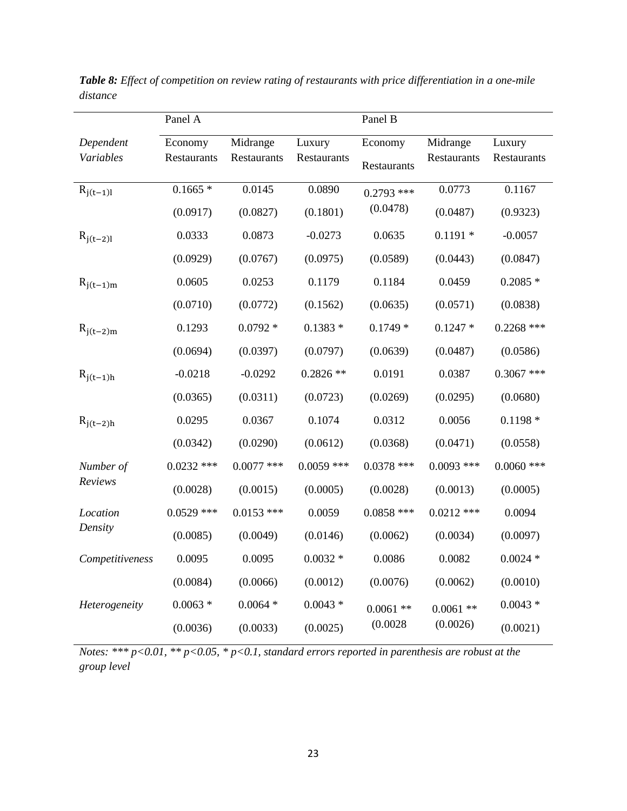|                 | Panel A      |              |              | Panel B      |              |              |
|-----------------|--------------|--------------|--------------|--------------|--------------|--------------|
| Dependent       | Economy      | Midrange     | Luxury       | Economy      | Midrange     | Luxury       |
| Variables       | Restaurants  | Restaurants  | Restaurants  | Restaurants  | Restaurants  | Restaurants  |
| $R_{j(t-1)l}$   | $0.1665*$    | 0.0145       | 0.0890       | $0.2793$ *** | 0.0773       | 0.1167       |
|                 | (0.0917)     | (0.0827)     | (0.1801)     | (0.0478)     | (0.0487)     | (0.9323)     |
| $R_{j(t-2)l}$   | 0.0333       | 0.0873       | $-0.0273$    | 0.0635       | $0.1191 *$   | $-0.0057$    |
|                 | (0.0929)     | (0.0767)     | (0.0975)     | (0.0589)     | (0.0443)     | (0.0847)     |
| $R_{j(t-1)m}$   | 0.0605       | 0.0253       | 0.1179       | 0.1184       | 0.0459       | $0.2085*$    |
|                 | (0.0710)     | (0.0772)     | (0.1562)     | (0.0635)     | (0.0571)     | (0.0838)     |
| $R_{j(t-2)m}$   | 0.1293       | $0.0792 *$   | $0.1383*$    | $0.1749*$    | $0.1247*$    | $0.2268$ *** |
|                 | (0.0694)     | (0.0397)     | (0.0797)     | (0.0639)     | (0.0487)     | (0.0586)     |
| $R_{j(t-1)h}$   | $-0.0218$    | $-0.0292$    | $0.2826**$   | 0.0191       | 0.0387       | $0.3067$ *** |
|                 | (0.0365)     | (0.0311)     | (0.0723)     | (0.0269)     | (0.0295)     | (0.0680)     |
| $R_{j(t-2)h}$   | 0.0295       | 0.0367       | 0.1074       | 0.0312       | 0.0056       | $0.1198 *$   |
|                 | (0.0342)     | (0.0290)     | (0.0612)     | (0.0368)     | (0.0471)     | (0.0558)     |
| Number of       | $0.0232$ *** | $0.0077$ *** | $0.0059$ *** | $0.0378$ *** | $0.0093$ *** | $0.0060$ *** |
| Reviews         | (0.0028)     | (0.0015)     | (0.0005)     | (0.0028)     | (0.0013)     | (0.0005)     |
| Location        | $0.0529$ *** | $0.0153$ *** | 0.0059       | $0.0858$ *** | $0.0212$ *** | 0.0094       |
| Density         | (0.0085)     | (0.0049)     | (0.0146)     | (0.0062)     | (0.0034)     | (0.0097)     |
| Competitiveness | 0.0095       | 0.0095       | $0.0032 *$   | 0.0086       | 0.0082       | $0.0024$ *   |
|                 | (0.0084)     | (0.0066)     | (0.0012)     | (0.0076)     | (0.0062)     | (0.0010)     |
| Heterogeneity   | $0.0063 *$   | $0.0064 *$   | $0.0043 *$   | $0.0061$ **  | $0.0061$ **  | $0.0043*$    |
|                 | (0.0036)     | (0.0033)     | (0.0025)     | (0.0028)     | (0.0026)     | (0.0021)     |

*Table 8: Effect of competition on review rating of restaurants with price differentiation in a one-mile distance*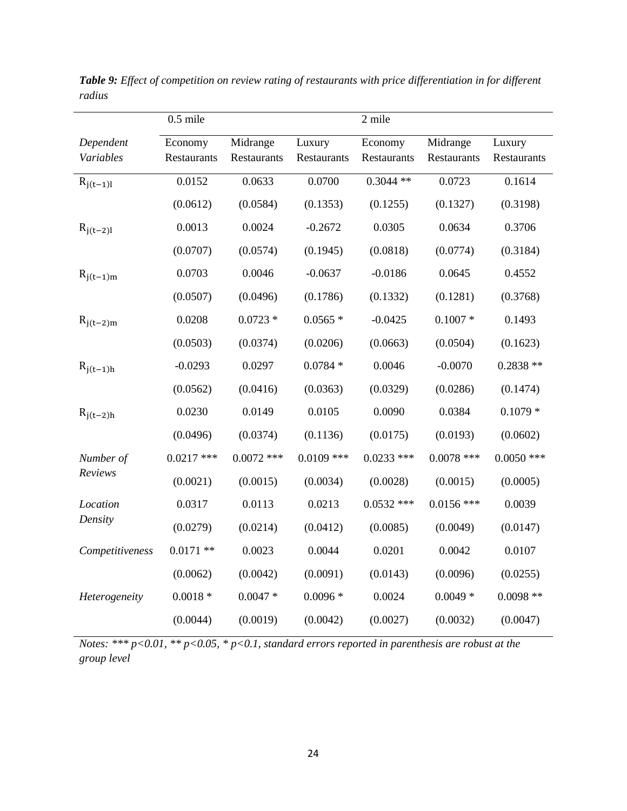|                        | $0.5$ mile             |                         |                       | 2 mile                 |                         |                       |
|------------------------|------------------------|-------------------------|-----------------------|------------------------|-------------------------|-----------------------|
| Dependent<br>Variables | Economy<br>Restaurants | Midrange<br>Restaurants | Luxury<br>Restaurants | Economy<br>Restaurants | Midrange<br>Restaurants | Luxury<br>Restaurants |
| $R_{j(t-1)l}$          | 0.0152                 | 0.0633                  | 0.0700                | $0.3044$ **            | 0.0723                  | 0.1614                |
|                        | (0.0612)               | (0.0584)                | (0.1353)              | (0.1255)               | (0.1327)                | (0.3198)              |
| $R_{j(t-2)l}$          | 0.0013                 | 0.0024                  | $-0.2672$             | 0.0305                 | 0.0634                  | 0.3706                |
|                        | (0.0707)               | (0.0574)                | (0.1945)              | (0.0818)               | (0.0774)                | (0.3184)              |
| $R_{j(t-1)m}$          | 0.0703                 | 0.0046                  | $-0.0637$             | $-0.0186$              | 0.0645                  | 0.4552                |
|                        | (0.0507)               | (0.0496)                | (0.1786)              | (0.1332)               | (0.1281)                | (0.3768)              |
| $R_{j(t-2)m}$          | 0.0208                 | $0.0723 *$              | $0.0565*$             | $-0.0425$              | $0.1007 *$              | 0.1493                |
|                        | (0.0503)               | (0.0374)                | (0.0206)              | (0.0663)               | (0.0504)                | (0.1623)              |
| $R_{j(t-1)h}$          | $-0.0293$              | 0.0297                  | $0.0784*$             | 0.0046                 | $-0.0070$               | $0.2838**$            |
|                        | (0.0562)               | (0.0416)                | (0.0363)              | (0.0329)               | (0.0286)                | (0.1474)              |
| $R_{j(t-2)h}$          | 0.0230                 | 0.0149                  | 0.0105                | 0.0090                 | 0.0384                  | $0.1079*$             |
|                        | (0.0496)               | (0.0374)                | (0.1136)              | (0.0175)               | (0.0193)                | (0.0602)              |
| Number of              | $0.0217$ ***           | $0.0072$ ***            | $0.0109$ ***          | $0.0233$ ***           | $0.0078$ ***            | $0.0050$ ***          |
| Reviews                | (0.0021)               | (0.0015)                | (0.0034)              | (0.0028)               | (0.0015)                | (0.0005)              |
| Location               | 0.0317                 | 0.0113                  | 0.0213                | $0.0532$ ***           | $0.0156$ ***            | 0.0039                |
| Density                | (0.0279)               | (0.0214)                | (0.0412)              | (0.0085)               | (0.0049)                | (0.0147)              |
| Competitiveness        | $0.0171$ **            | 0.0023                  | 0.0044                | 0.0201                 | 0.0042                  | 0.0107                |
|                        | (0.0062)               | (0.0042)                | (0.0091)              | (0.0143)               | (0.0096)                | (0.0255)              |
| Heterogeneity          | $0.0018 *$             | $0.0047*$               | $0.0096*$             | 0.0024                 | $0.0049*$               | $0.0098$ **           |
|                        | (0.0044)               | (0.0019)                | (0.0042)              | (0.0027)               | (0.0032)                | (0.0047)              |

*Table 9: Effect of competition on review rating of restaurants with price differentiation in for different radius*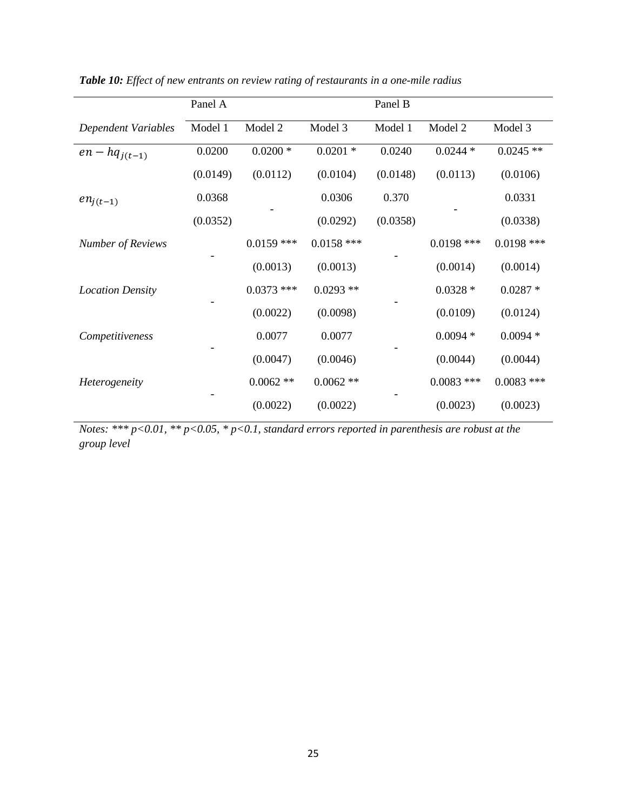|                          | Panel A  |              |              | Panel B  |              |              |
|--------------------------|----------|--------------|--------------|----------|--------------|--------------|
| Dependent Variables      | Model 1  | Model 2      | Model 3      | Model 1  | Model 2      | Model 3      |
| $en - hq_{i(t-1)}$       | 0.0200   | $0.0200*$    | $0.0201$ *   | 0.0240   | $0.0244*$    | $0.0245**$   |
|                          | (0.0149) | (0.0112)     | (0.0104)     | (0.0148) | (0.0113)     | (0.0106)     |
| $en_{j(t-1)}$            | 0.0368   |              | 0.0306       | 0.370    |              | 0.0331       |
|                          | (0.0352) |              | (0.0292)     | (0.0358) |              | (0.0338)     |
| <b>Number of Reviews</b> |          | $0.0159$ *** | $0.0158$ *** |          | $0.0198$ *** | $0.0198$ *** |
|                          |          | (0.0013)     | (0.0013)     |          | (0.0014)     | (0.0014)     |
| <b>Location Density</b>  |          | $0.0373$ *** | $0.0293**$   |          | $0.0328*$    | $0.0287 *$   |
|                          |          | (0.0022)     | (0.0098)     |          | (0.0109)     | (0.0124)     |
| Competitiveness          |          | 0.0077       | 0.0077       |          | $0.0094*$    | $0.0094*$    |
|                          |          | (0.0047)     | (0.0046)     |          | (0.0044)     | (0.0044)     |
| Heterogeneity            |          | $0.0062**$   | $0.0062$ **  |          | $0.0083$ *** | $0.0083$ *** |
|                          |          | (0.0022)     | (0.0022)     |          | (0.0023)     | (0.0023)     |

*Table 10: Effect of new entrants on review rating of restaurants in a one-mile radius*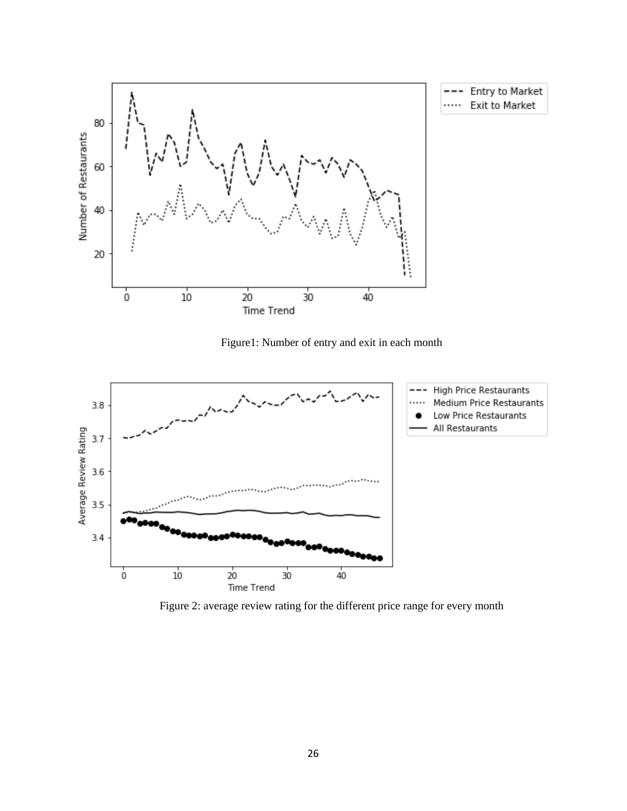

Figure1: Number of entry and exit in each month



Figure 2: average review rating for the different price range for every month